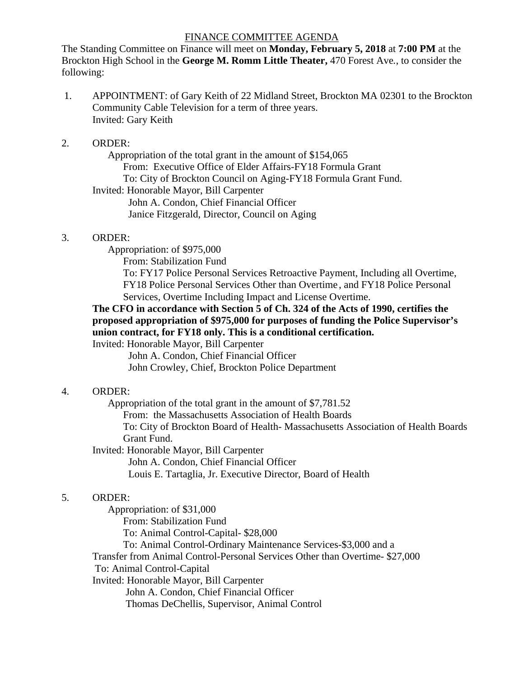#### FINANCE COMMITTEE AGENDA

The Standing Committee on Finance will meet on **Monday, February 5, 2018** at **7:00 PM** at the Brockton High School in the **George M. Romm Little Theater,** 470 Forest Ave*.*, to consider the following:

 1. APPOINTMENT: of Gary Keith of 22 Midland Street, Brockton MA 02301 to the Brockton Community Cable Television for a term of three years. Invited: Gary Keith

### 2. ORDER:

 Appropriation of the total grant in the amount of \$154,065 From: Executive Office of Elder Affairs-FY18 Formula Grant To: City of Brockton Council on Aging-FY18 Formula Grant Fund. Invited: Honorable Mayor, Bill Carpenter John A. Condon, Chief Financial Officer Janice Fitzgerald, Director, Council on Aging

### 3. ORDER:

Appropriation: of \$975,000

From: Stabilization Fund

To: FY17 Police Personal Services Retroactive Payment, Including all Overtime, FY18 Police Personal Services Other than Overtime , and FY18 Police Personal Services, Overtime Including Impact and License Overtime.

# **The CFO in accordance with Section 5 of Ch. 324 of the Acts of 1990, certifies the proposed appropriation of \$975,000 for purposes of funding the Police Supervisor's union contract, for FY18 only. This is a conditional certification.**

Invited: Honorable Mayor, Bill Carpenter

 John A. Condon, Chief Financial Officer John Crowley, Chief, Brockton Police Department

## 4. ORDER:

Appropriation of the total grant in the amount of \$7,781.52

From: the Massachusetts Association of Health Boards

To: City of Brockton Board of Health- Massachusetts Association of Health Boards Grant Fund.

Invited: Honorable Mayor, Bill Carpenter

John A. Condon, Chief Financial Officer

Louis E. Tartaglia, Jr. Executive Director, Board of Health

## 5. ORDER:

 Appropriation: of \$31,000 From: Stabilization Fund To: Animal Control-Capital- \$28,000 To: Animal Control-Ordinary Maintenance Services-\$3,000 and a Transfer from Animal Control-Personal Services Other than Overtime- \$27,000 To: Animal Control-Capital Invited: Honorable Mayor, Bill Carpenter John A. Condon, Chief Financial Officer Thomas DeChellis, Supervisor, Animal Control